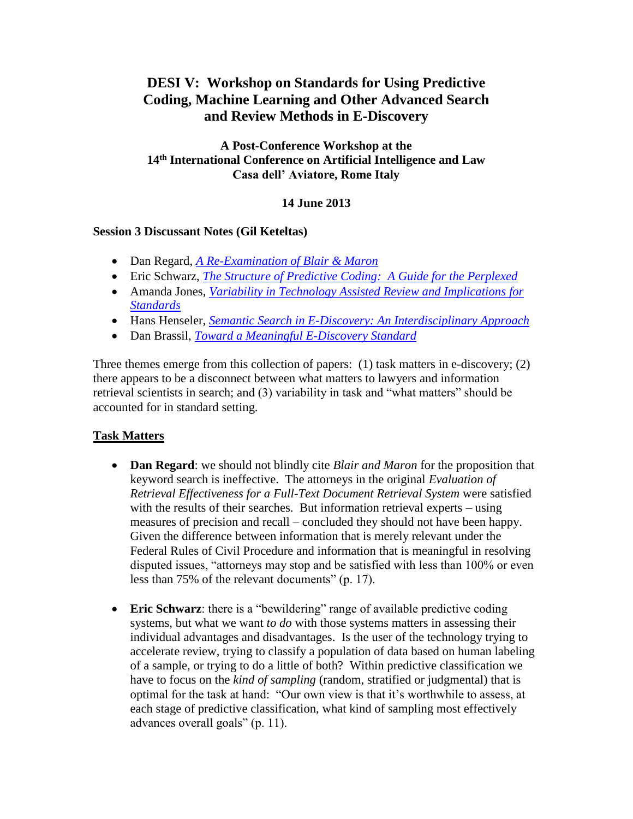# **DESI V: Workshop on Standards for Using Predictive Coding, Machine Learning and Other Advanced Search and Review Methods in E-Discovery**

# **A Post-Conference Workshop at the 14th International Conference on Artificial Intelligence and Law Casa dell' Aviatore, Rome Italy**

# **14 June 2013**

#### **Session 3 Discussant Notes (Gil Keteltas)**

- Dan Regard, *[A Re-Examination of Blair & Maron](http://www.umiacs.umd.edu/~oard/desi5/additional/Regard-final.pdf)*
- Eric Schwarz, *[The Structure of Predictive Coding: A Guide for the Perplexed](http://www.umiacs.umd.edu/~oard/desi5/additional/Oehrle-final.pdf)*
- Amanda Jones, *[Variability in Technology Assisted Review and Implications for](http://www.umiacs.umd.edu/~oard/desi5/additional/Cheng-position-final.pdf)  [Standards](http://www.umiacs.umd.edu/~oard/desi5/additional/Cheng-position-final.pdf)*
- Hans Henseler, *[Semantic Search in E-Discovery: An Interdisciplinary Approach](http://www.umiacs.umd.edu/~oard/desi5/additional/Graus.pdf)*
- Dan Brassil, *[Toward a Meaningful E-Discovery Standard](http://www.umiacs.umd.edu/~oard/desi5/additional/Hedin.pdf)*

Three themes emerge from this collection of papers: (1) task matters in e-discovery; (2) there appears to be a disconnect between what matters to lawyers and information retrieval scientists in search; and (3) variability in task and "what matters" should be accounted for in standard setting.

# **Task Matters**

- **Dan Regard**: we should not blindly cite *Blair and Maron* for the proposition that keyword search is ineffective. The attorneys in the original *Evaluation of Retrieval Effectiveness for a Full-Text Document Retrieval System* were satisfied with the results of their searches. But information retrieval experts – using measures of precision and recall – concluded they should not have been happy. Given the difference between information that is merely relevant under the Federal Rules of Civil Procedure and information that is meaningful in resolving disputed issues, "attorneys may stop and be satisfied with less than 100% or even less than 75% of the relevant documents" (p. 17).
- **Eric Schwarz**: there is a "bewildering" range of available predictive coding systems, but what we want *to do* with those systems matters in assessing their individual advantages and disadvantages. Is the user of the technology trying to accelerate review, trying to classify a population of data based on human labeling of a sample, or trying to do a little of both? Within predictive classification we have to focus on the *kind of sampling* (random, stratified or judgmental) that is optimal for the task at hand: "Our own view is that it's worthwhile to assess, at each stage of predictive classification, what kind of sampling most effectively advances overall goals" (p. 11).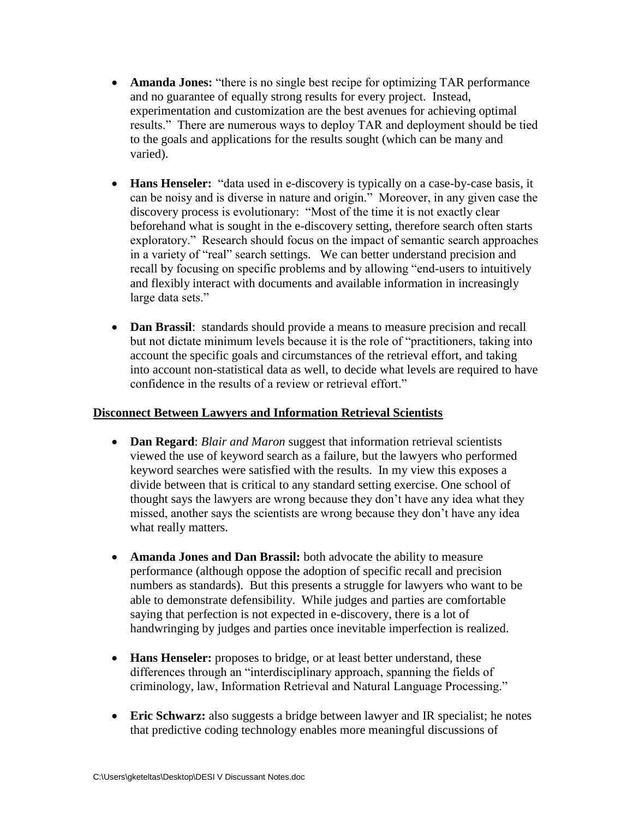- **Amanda Jones:** "there is no single best recipe for optimizing TAR performance and no guarantee of equally strong results for every project. Instead, experimentation and customization are the best avenues for achieving optimal results." There are numerous ways to deploy TAR and deployment should be tied to the goals and applications for the results sought (which can be many and varied).
- **Hans Henseler:** "data used in e-discovery is typically on a case-by-case basis, it can be noisy and is diverse in nature and origin." Moreover, in any given case the discovery process is evolutionary: "Most of the time it is not exactly clear beforehand what is sought in the e-discovery setting, therefore search often starts exploratory." Research should focus on the impact of semantic search approaches in a variety of "real" search settings. We can better understand precision and recall by focusing on specific problems and by allowing "end-users to intuitively and flexibly interact with documents and available information in increasingly large data sets."
- **Dan Brassil**: standards should provide a means to measure precision and recall but not dictate minimum levels because it is the role of "practitioners, taking into account the specific goals and circumstances of the retrieval effort, and taking into account non-statistical data as well, to decide what levels are required to have confidence in the results of a review or retrieval effort."

## **Disconnect Between Lawyers and Information Retrieval Scientists**

- **Dan Regard**: *Blair and Maron* suggest that information retrieval scientists viewed the use of keyword search as a failure, but the lawyers who performed keyword searches were satisfied with the results. In my view this exposes a divide between that is critical to any standard setting exercise. One school of thought says the lawyers are wrong because they don't have any idea what they missed, another says the scientists are wrong because they don't have any idea what really matters.
- **Amanda Jones and Dan Brassil:** both advocate the ability to measure performance (although oppose the adoption of specific recall and precision numbers as standards). But this presents a struggle for lawyers who want to be able to demonstrate defensibility. While judges and parties are comfortable saying that perfection is not expected in e-discovery, there is a lot of handwringing by judges and parties once inevitable imperfection is realized.
- **Hans Henseler:** proposes to bridge, or at least better understand, these differences through an "interdisciplinary approach, spanning the fields of criminology, law, Information Retrieval and Natural Language Processing."
- **Eric Schwarz:** also suggests a bridge between lawyer and IR specialist; he notes that predictive coding technology enables more meaningful discussions of